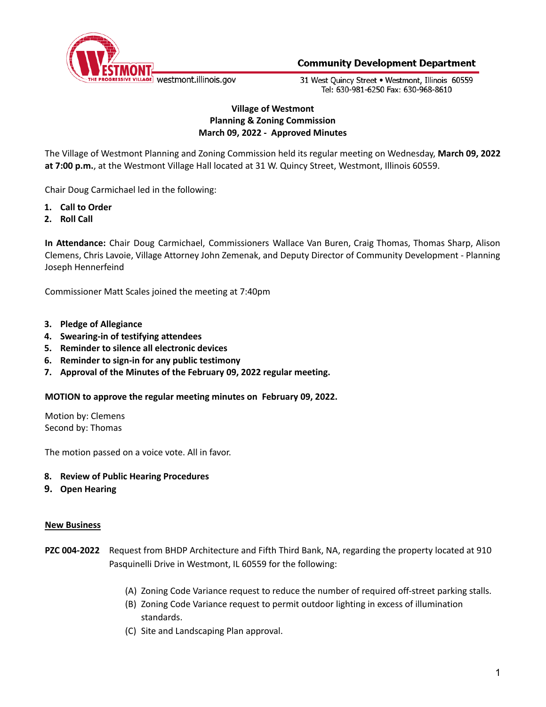

31 West Ouincy Street . Westmont, Illinois 60559 Tel: 630-981-6250 Fax: 630-968-8610

# **Village of Westmont Planning & Zoning Commission March 09, 2022 - Approved Minutes**

The Village of Westmont Planning and Zoning Commission held its regular meeting on Wednesday, **March 09, 2022 at 7:00 p.m.**, at the Westmont Village Hall located at 31 W. Quincy Street, Westmont, Illinois 60559.

Chair Doug Carmichael led in the following:

- **1. Call to Order**
- **2. Roll Call**

**In Attendance:** Chair Doug Carmichael, Commissioners Wallace Van Buren, Craig Thomas, Thomas Sharp, Alison Clemens, Chris Lavoie, Village Attorney John Zemenak, and Deputy Director of Community Development - Planning Joseph Hennerfeind

Commissioner Matt Scales joined the meeting at 7:40pm

- **3. Pledge of Allegiance**
- **4. Swearing-in of testifying attendees**
- **5. Reminder to silence all electronic devices**
- **6. Reminder to sign-in for any public testimony**
- **7. Approval of the Minutes of the February 09, 2022 regular meeting.**

**MOTION to approve the regular meeting minutes on February 09, 2022.**

Motion by: Clemens Second by: Thomas

The motion passed on a voice vote. All in favor.

### **8. Review of Public Hearing Procedures**

**9. Open Hearing**

### **New Business**

- **PZC 004-2022** Request from BHDP Architecture and Fifth Third Bank, NA, regarding the property located at 910 Pasquinelli Drive in Westmont, IL 60559 for the following:
	- (A) Zoning Code Variance request to reduce the number of required off-street parking stalls.
	- (B) Zoning Code Variance request to permit outdoor lighting in excess of illumination standards.
	- (C) Site and Landscaping Plan approval.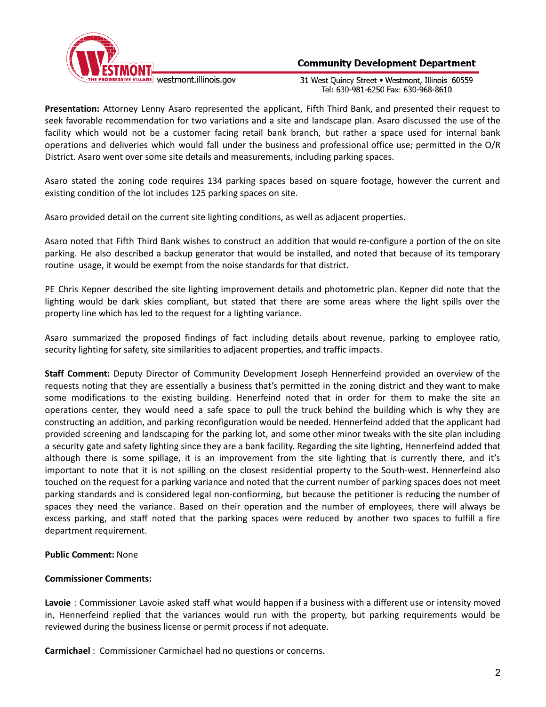

31 West Quincy Street . Westmont, Illinois 60559 Tel: 630-981-6250 Fax: 630-968-8610

**Presentation:** Attorney Lenny Asaro represented the applicant, Fifth Third Bank, and presented their request to seek favorable recommendation for two variations and a site and landscape plan. Asaro discussed the use of the facility which would not be a customer facing retail bank branch, but rather a space used for internal bank operations and deliveries which would fall under the business and professional office use; permitted in the O/R District. Asaro went over some site details and measurements, including parking spaces.

Asaro stated the zoning code requires 134 parking spaces based on square footage, however the current and existing condition of the lot includes 125 parking spaces on site.

Asaro provided detail on the current site lighting conditions, as well as adjacent properties.

Asaro noted that Fifth Third Bank wishes to construct an addition that would re-configure a portion of the on site parking. He also described a backup generator that would be installed, and noted that because of its temporary routine usage, it would be exempt from the noise standards for that district.

PE Chris Kepner described the site lighting improvement details and photometric plan. Kepner did note that the lighting would be dark skies compliant, but stated that there are some areas where the light spills over the property line which has led to the request for a lighting variance.

Asaro summarized the proposed findings of fact including details about revenue, parking to employee ratio, security lighting for safety, site similarities to adjacent properties, and traffic impacts.

**Staff Comment:** Deputy Director of Community Development Joseph Hennerfeind provided an overview of the requests noting that they are essentially a business that's permitted in the zoning district and they want to make some modifications to the existing building. Henerfeind noted that in order for them to make the site an operations center, they would need a safe space to pull the truck behind the building which is why they are constructing an addition, and parking reconfiguration would be needed. Hennerfeind added that the applicant had provided screening and landscaping for the parking lot, and some other minor tweaks with the site plan including a security gate and safety lighting since they are a bank facility. Regarding the site lighting, Hennerfeind added that although there is some spillage, it is an improvement from the site lighting that is currently there, and it's important to note that it is not spilling on the closest residential property to the South-west. Hennerfeind also touched on the request for a parking variance and noted that the current number of parking spaces does not meet parking standards and is considered legal non-confiorming, but because the petitioner is reducing the number of spaces they need the variance. Based on their operation and the number of employees, there will always be excess parking, and staff noted that the parking spaces were reduced by another two spaces to fulfill a fire department requirement.

# **Public Comment:** None

# **Commissioner Comments:**

**Lavoie** : Commissioner Lavoie asked staff what would happen if a business with a different use or intensity moved in, Hennerfeind replied that the variances would run with the property, but parking requirements would be reviewed during the business license or permit process if not adequate.

**Carmichael** : Commissioner Carmichael had no questions or concerns.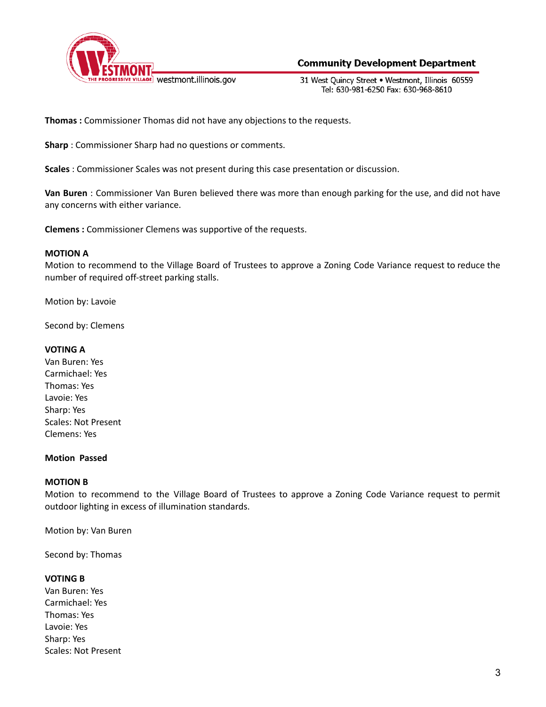

31 West Ouincy Street . Westmont, Illinois 60559 Tel: 630-981-6250 Fax: 630-968-8610

**Thomas :** Commissioner Thomas did not have any objections to the requests.

**Sharp** : Commissioner Sharp had no questions or comments.

**Scales** : Commissioner Scales was not present during this case presentation or discussion.

**Van Buren** : Commissioner Van Buren believed there was more than enough parking for the use, and did not have any concerns with either variance.

**Clemens :** Commissioner Clemens was supportive of the requests.

# **MOTION A**

Motion to recommend to the Village Board of Trustees to approve a Zoning Code Variance request to reduce the number of required off-street parking stalls.

Motion by: Lavoie

Second by: Clemens

# **VOTING A**

Van Buren: Yes Carmichael: Yes Thomas: Yes Lavoie: Yes Sharp: Yes Scales: Not Present Clemens: Yes

# **Motion Passed**

# **MOTION B**

Motion to recommend to the Village Board of Trustees to approve a Zoning Code Variance request to permit outdoor lighting in excess of illumination standards.

Motion by: Van Buren

Second by: Thomas

# **VOTING B**

Van Buren: Yes Carmichael: Yes Thomas: Yes Lavoie: Yes Sharp: Yes Scales: Not Present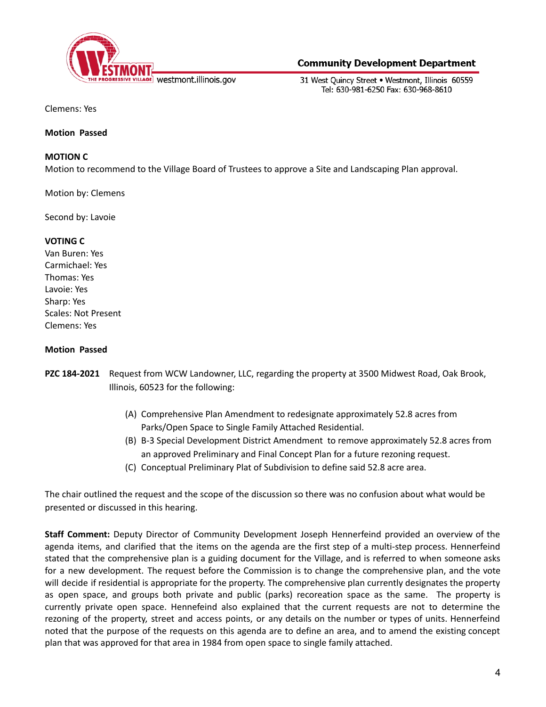

31 West Ouincy Street . Westmont, Illinois 60559 Tel: 630-981-6250 Fax: 630-968-8610

Clemens: Yes

## **Motion Passed**

# **MOTION C**

Motion to recommend to the Village Board of Trustees to approve a Site and Landscaping Plan approval.

Motion by: Clemens

Second by: Lavoie

## **VOTING C**

Van Buren: Yes Carmichael: Yes Thomas: Yes Lavoie: Yes Sharp: Yes Scales: Not Present Clemens: Yes

## **Motion Passed**

- **PZC 184-2021** Request from WCW Landowner, LLC, regarding the property at 3500 Midwest Road, Oak Brook, Illinois, 60523 for the following:
	- (A) Comprehensive Plan Amendment to redesignate approximately 52.8 acres from Parks/Open Space to Single Family Attached Residential.
	- (B) B-3 Special Development District Amendment to remove approximately 52.8 acres from an approved Preliminary and Final Concept Plan for a future rezoning request.
	- (C) Conceptual Preliminary Plat of Subdivision to define said 52.8 acre area.

The chair outlined the request and the scope of the discussion so there was no confusion about what would be presented or discussed in this hearing.

**Staff Comment:** Deputy Director of Community Development Joseph Hennerfeind provided an overview of the agenda items, and clarified that the items on the agenda are the first step of a multi-step process. Hennerfeind stated that the comprehensive plan is a guiding document for the Village, and is referred to when someone asks for a new development. The request before the Commission is to change the comprehensive plan, and the vote will decide if residential is appropriate for the property. The comprehensive plan currently designates the property as open space, and groups both private and public (parks) recoreation space as the same. The property is currently private open space. Hennefeind also explained that the current requests are not to determine the rezoning of the property, street and access points, or any details on the number or types of units. Hennerfeind noted that the purpose of the requests on this agenda are to define an area, and to amend the existing concept plan that was approved for that area in 1984 from open space to single family attached.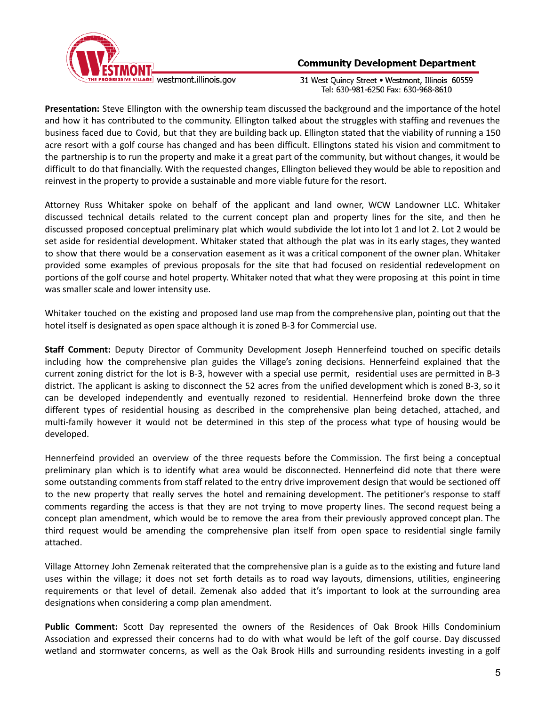

31 West Quincy Street . Westmont, Illinois 60559 Tel: 630-981-6250 Fax: 630-968-8610

**Presentation:** Steve Ellington with the ownership team discussed the background and the importance of the hotel and how it has contributed to the community. Ellington talked about the struggles with staffing and revenues the business faced due to Covid, but that they are building back up. Ellington stated that the viability of running a 150 acre resort with a golf course has changed and has been difficult. Ellingtons stated his vision and commitment to the partnership is to run the property and make it a great part of the community, but without changes, it would be difficult to do that financially. With the requested changes, Ellington believed they would be able to reposition and reinvest in the property to provide a sustainable and more viable future for the resort.

Attorney Russ Whitaker spoke on behalf of the applicant and land owner, WCW Landowner LLC. Whitaker discussed technical details related to the current concept plan and property lines for the site, and then he discussed proposed conceptual preliminary plat which would subdivide the lot into lot 1 and lot 2. Lot 2 would be set aside for residential development. Whitaker stated that although the plat was in its early stages, they wanted to show that there would be a conservation easement as it was a critical component of the owner plan. Whitaker provided some examples of previous proposals for the site that had focused on residential redevelopment on portions of the golf course and hotel property. Whitaker noted that what they were proposing at this point in time was smaller scale and lower intensity use.

Whitaker touched on the existing and proposed land use map from the comprehensive plan, pointing out that the hotel itself is designated as open space although it is zoned B-3 for Commercial use.

**Staff Comment:** Deputy Director of Community Development Joseph Hennerfeind touched on specific details including how the comprehensive plan guides the Village's zoning decisions. Hennerfeind explained that the current zoning district for the lot is B-3, however with a special use permit, residential uses are permitted in B-3 district. The applicant is asking to disconnect the 52 acres from the unified development which is zoned B-3, so it can be developed independently and eventually rezoned to residential. Hennerfeind broke down the three different types of residential housing as described in the comprehensive plan being detached, attached, and multi-family however it would not be determined in this step of the process what type of housing would be developed.

Hennerfeind provided an overview of the three requests before the Commission. The first being a conceptual preliminary plan which is to identify what area would be disconnected. Hennerfeind did note that there were some outstanding comments from staff related to the entry drive improvement design that would be sectioned off to the new property that really serves the hotel and remaining development. The petitioner's response to staff comments regarding the access is that they are not trying to move property lines. The second request being a concept plan amendment, which would be to remove the area from their previously approved concept plan. The third request would be amending the comprehensive plan itself from open space to residential single family attached.

Village Attorney John Zemenak reiterated that the comprehensive plan is a guide as to the existing and future land uses within the village; it does not set forth details as to road way layouts, dimensions, utilities, engineering requirements or that level of detail. Zemenak also added that it's important to look at the surrounding area designations when considering a comp plan amendment.

**Public Comment:** Scott Day represented the owners of the Residences of Oak Brook Hills Condominium Association and expressed their concerns had to do with what would be left of the golf course. Day discussed wetland and stormwater concerns, as well as the Oak Brook Hills and surrounding residents investing in a golf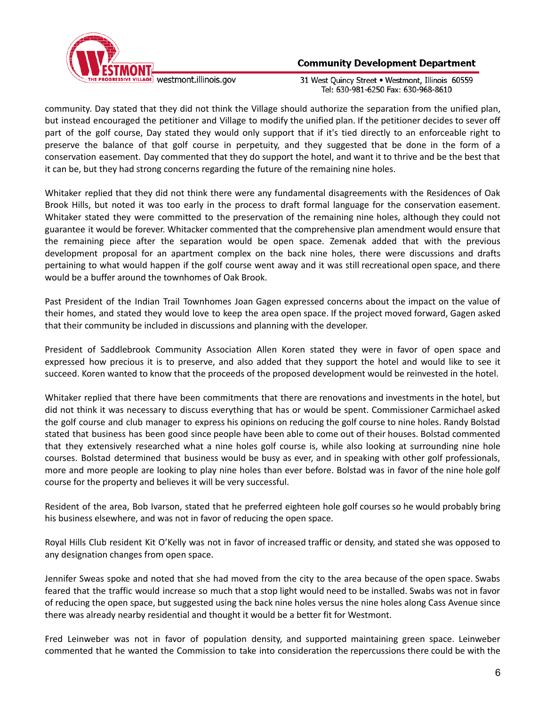

31 West Quincy Street . Westmont, Illinois 60559 Tel: 630-981-6250 Fax: 630-968-8610

community. Day stated that they did not think the Village should authorize the separation from the unified plan, but instead encouraged the petitioner and Village to modify the unified plan. If the petitioner decides to sever off part of the golf course, Day stated they would only support that if it's tied directly to an enforceable right to preserve the balance of that golf course in perpetuity, and they suggested that be done in the form of a conservation easement. Day commented that they do support the hotel, and want it to thrive and be the best that it can be, but they had strong concerns regarding the future of the remaining nine holes.

Whitaker replied that they did not think there were any fundamental disagreements with the Residences of Oak Brook Hills, but noted it was too early in the process to draft formal language for the conservation easement. Whitaker stated they were committed to the preservation of the remaining nine holes, although they could not guarantee it would be forever. Whitacker commented that the comprehensive plan amendment would ensure that the remaining piece after the separation would be open space. Zemenak added that with the previous development proposal for an apartment complex on the back nine holes, there were discussions and drafts pertaining to what would happen if the golf course went away and it was still recreational open space, and there would be a buffer around the townhomes of Oak Brook.

Past President of the Indian Trail Townhomes Joan Gagen expressed concerns about the impact on the value of their homes, and stated they would love to keep the area open space. If the project moved forward, Gagen asked that their community be included in discussions and planning with the developer.

President of Saddlebrook Community Association Allen Koren stated they were in favor of open space and expressed how precious it is to preserve, and also added that they support the hotel and would like to see it succeed. Koren wanted to know that the proceeds of the proposed development would be reinvested in the hotel.

Whitaker replied that there have been commitments that there are renovations and investments in the hotel, but did not think it was necessary to discuss everything that has or would be spent. Commissioner Carmichael asked the golf course and club manager to express his opinions on reducing the golf course to nine holes. Randy Bolstad stated that business has been good since people have been able to come out of their houses. Bolstad commented that they extensively researched what a nine holes golf course is, while also looking at surrounding nine hole courses. Bolstad determined that business would be busy as ever, and in speaking with other golf professionals, more and more people are looking to play nine holes than ever before. Bolstad was in favor of the nine hole golf course for the property and believes it will be very successful.

Resident of the area, Bob Ivarson, stated that he preferred eighteen hole golf courses so he would probably bring his business elsewhere, and was not in favor of reducing the open space.

Royal Hills Club resident Kit O'Kelly was not in favor of increased traffic or density, and stated she was opposed to any designation changes from open space.

Jennifer Sweas spoke and noted that she had moved from the city to the area because of the open space. Swabs feared that the traffic would increase so much that a stop light would need to be installed. Swabs was not in favor of reducing the open space, but suggested using the back nine holes versus the nine holes along Cass Avenue since there was already nearby residential and thought it would be a better fit for Westmont.

Fred Leinweber was not in favor of population density, and supported maintaining green space. Leinweber commented that he wanted the Commission to take into consideration the repercussions there could be with the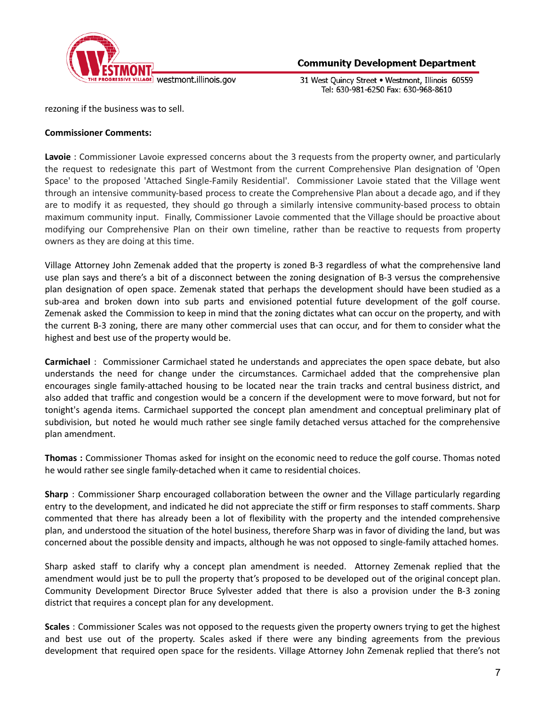

31 West Quincy Street . Westmont, Illinois 60559 Tel: 630-981-6250 Fax: 630-968-8610

rezoning if the business was to sell.

## **Commissioner Comments:**

**Lavoie** : Commissioner Lavoie expressed concerns about the 3 requests from the property owner, and particularly the request to redesignate this part of Westmont from the current Comprehensive Plan designation of 'Open Space' to the proposed 'Attached Single-Family Residential'. Commissioner Lavoie stated that the Village went through an intensive community-based process to create the Comprehensive Plan about a decade ago, and if they are to modify it as requested, they should go through a similarly intensive community-based process to obtain maximum community input. Finally, Commissioner Lavoie commented that the Village should be proactive about modifying our Comprehensive Plan on their own timeline, rather than be reactive to requests from property owners as they are doing at this time.

Village Attorney John Zemenak added that the property is zoned B-3 regardless of what the comprehensive land use plan says and there's a bit of a disconnect between the zoning designation of B-3 versus the comprehensive plan designation of open space. Zemenak stated that perhaps the development should have been studied as a sub-area and broken down into sub parts and envisioned potential future development of the golf course. Zemenak asked the Commission to keep in mind that the zoning dictates what can occur on the property, and with the current B-3 zoning, there are many other commercial uses that can occur, and for them to consider what the highest and best use of the property would be.

**Carmichael** : Commissioner Carmichael stated he understands and appreciates the open space debate, but also understands the need for change under the circumstances. Carmichael added that the comprehensive plan encourages single family-attached housing to be located near the train tracks and central business district, and also added that traffic and congestion would be a concern if the development were to move forward, but not for tonight's agenda items. Carmichael supported the concept plan amendment and conceptual preliminary plat of subdivision, but noted he would much rather see single family detached versus attached for the comprehensive plan amendment.

**Thomas :** Commissioner Thomas asked for insight on the economic need to reduce the golf course. Thomas noted he would rather see single family-detached when it came to residential choices.

**Sharp** : Commissioner Sharp encouraged collaboration between the owner and the Village particularly regarding entry to the development, and indicated he did not appreciate the stiff or firm responses to staff comments. Sharp commented that there has already been a lot of flexibility with the property and the intended comprehensive plan, and understood the situation of the hotel business, therefore Sharp was in favor of dividing the land, but was concerned about the possible density and impacts, although he was not opposed to single-family attached homes.

Sharp asked staff to clarify why a concept plan amendment is needed. Attorney Zemenak replied that the amendment would just be to pull the property that's proposed to be developed out of the original concept plan. Community Development Director Bruce Sylvester added that there is also a provision under the B-3 zoning district that requires a concept plan for any development.

**Scales** : Commissioner Scales was not opposed to the requests given the property owners trying to get the highest and best use out of the property. Scales asked if there were any binding agreements from the previous development that required open space for the residents. Village Attorney John Zemenak replied that there's not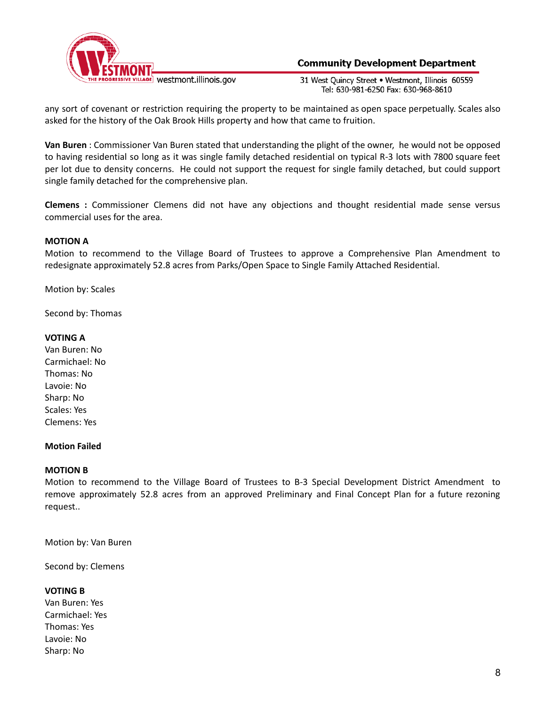

31 West Ouincy Street . Westmont, Illinois 60559 Tel: 630-981-6250 Fax: 630-968-8610

any sort of covenant or restriction requiring the property to be maintained as open space perpetually. Scales also asked for the history of the Oak Brook Hills property and how that came to fruition.

**Van Buren** : Commissioner Van Buren stated that understanding the plight of the owner, he would not be opposed to having residential so long as it was single family detached residential on typical R-3 lots with 7800 square feet per lot due to density concerns. He could not support the request for single family detached, but could support single family detached for the comprehensive plan.

**Clemens :** Commissioner Clemens did not have any objections and thought residential made sense versus commercial uses for the area.

## **MOTION A**

Motion to recommend to the Village Board of Trustees to approve a Comprehensive Plan Amendment to redesignate approximately 52.8 acres from Parks/Open Space to Single Family Attached Residential.

Motion by: Scales

Second by: Thomas

### **VOTING A**

Van Buren: No Carmichael: No Thomas: No Lavoie: No Sharp: No Scales: Yes Clemens: Yes

### **Motion Failed**

### **MOTION B**

Motion to recommend to the Village Board of Trustees to B-3 Special Development District Amendment to remove approximately 52.8 acres from an approved Preliminary and Final Concept Plan for a future rezoning request..

Motion by: Van Buren

Second by: Clemens

### **VOTING B**

Van Buren: Yes Carmichael: Yes Thomas: Yes Lavoie: No Sharp: No